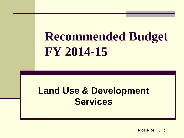# **Recommended Budget FY 2014-15**

#### **Land Use & Development Services**

14-0219 5G 1 of 13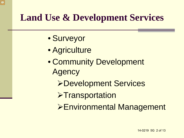#### **Land Use & Development Services**

- Surveyor
- Agriculture
- Community Development **Agency** 
	- Development Services
	- **>Transportation**
	- Environmental Management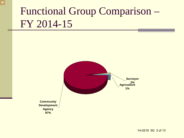## Functional Group Comparison – FY 2014-15

 $\sqrt{C}$ 

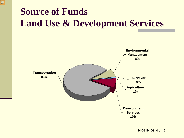#### **Source of Funds Land Use & Development Services**

 $\sqrt{2}$ 

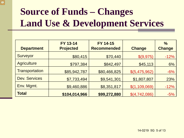#### **Source of Funds – Changes Land Use & Development Services**

| <b>Department</b>     | FY 13-14<br><b>Projected</b> | <b>FY 14-15</b><br><b>Recommended</b> | <b>Change</b> | $\frac{0}{0}$<br><b>Change</b> |
|-----------------------|------------------------------|---------------------------------------|---------------|--------------------------------|
| Surveyor              | \$80,415                     | \$70,440                              | \$(9,975)     | $-12%$                         |
| <b>Agriculture</b>    | \$797,384                    | \$842,497                             | \$45,113      | 6%                             |
| <b>Transportation</b> | \$85,942,787                 | \$80,466,825                          | \$(5,475,962) | $-6%$                          |
| <b>Dev. Services</b>  | \$7,733,494                  | \$9,541,301                           | \$1,807,807   | 23%                            |
| Env. Mgmt.            | \$9,460,886                  | \$8,351,817                           | \$(1,109,069) | $-12%$                         |
| <b>Total</b>          | \$104,014,966                | \$99,272,880                          | \$(4,742,086) | $-5%$                          |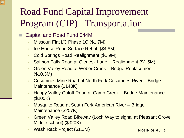#### Road Fund Capital Improvement Program (CIP)– Transportation

#### Capital and Road Fund \$44M

- Missouri Flat I/C Phase 1C (\$1.7M)
- Ice House Road Surface Rehab (\$4.8M)
- Cold Springs Road Realignment (\$1.9M)
- Salmon Falls Road at Glenesk Lane Realignment (\$1.5M)
- Green Valley Road at Weber Creek Bridge Replacement (\$10.3M)
- Cosumnes Mine Road at North Fork Cosumnes River Bridge Maintenance (\$143K)
- Happy Valley Cutoff Road at Camp Creek Bridge Maintenance (\$200K)
- Mosquito Road at South Fork American River Bridge Maintenance (\$207K)
- Green Valley Road Bikeway (Loch Way to signal at Pleasant Grove Middle school) (\$320K)
- Wash Rack Project (\$1.3M)

14-0219 5G 6 of 13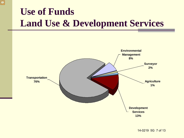#### **Use of Funds Land Use & Development Services**

 $\sqrt{2}$ 



14-0219 5G 7 of 13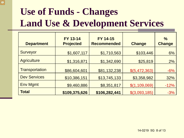#### **Use of Funds - Changes Land Use & Development Services**

 $\sqrt{2}$ 

| <b>Department</b>   | <b>FY 13-14</b><br><b>Projected</b> | FY 14-15<br><b>Recommended</b> | <b>Change</b>   | $\frac{0}{0}$<br><b>Change</b> |
|---------------------|-------------------------------------|--------------------------------|-----------------|--------------------------------|
| Surveyor            | \$1,607,117                         | \$1,710,563                    | \$103,446       | 6%                             |
| <b>Agriculture</b>  | \$1,316,871                         | \$1,342,690                    | \$25,819        | 2%                             |
| Transportation      | \$86,604,601                        | \$81,132,238                   | \$(5,472,363)   | $-6%$                          |
| <b>Dev Services</b> | \$10,386,151                        | \$13,745,133                   | \$3,358,982     | 32%                            |
| <b>Env Mgmt</b>     | \$9,460,886                         | \$8,351,817                    | \$(1,109,069)   | $-12%$                         |
| <b>Total</b>        | \$109,375,626                       | \$106,282,441                  | $$$ (3,093,185) | $-3%$                          |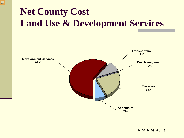#### **Net County Cost Land Use & Development Services**

 $\sqrt{ }$ 

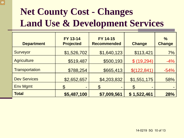#### **Net County Cost - Changes Land Use & Development Services**

| <b>Department</b>     | FY 13-14<br><b>Projected</b> | <b>FY 14-15</b><br><b>Recommended</b> | <b>Change</b>      | $\frac{0}{0}$<br><b>Change</b> |
|-----------------------|------------------------------|---------------------------------------|--------------------|--------------------------------|
| Surveyor              | \$1,526,702                  | \$1,640,123                           | \$113,421          | 7%                             |
| <b>Agriculture</b>    | \$519,487                    | \$500,193                             | \$(19,294)         | $-4%$                          |
| <b>Transportation</b> | \$788,254                    | \$665,413                             | \$(122, 841)       | $-54%$                         |
| <b>Dev Services</b>   | \$2,652,657                  | \$4,203,832                           | \$1,551,175        | 58%                            |
| <b>Env Mgmt</b>       | $\mathfrak{F}$<br>٠          | $\mathfrak{P}$<br>-                   | $\mathcal{C}$<br>- |                                |
| <b>Total</b>          | \$5,487,100                  | \$7,009,561                           | \$1,522,461        | 28%                            |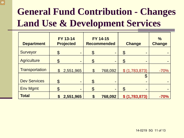#### **General Fund Contribution - Changes Land Use & Development Services**

| <b>Department</b>   |                      | <b>FY 13-14</b><br><b>Projected</b> |                       | FY 14-15<br><b>Recommended</b> |                | <b>Change</b>                                     | $\frac{0}{0}$<br><b>Change</b> |
|---------------------|----------------------|-------------------------------------|-----------------------|--------------------------------|----------------|---------------------------------------------------|--------------------------------|
| Surveyor            | $\mathfrak{F}% _{0}$ | $\blacksquare$                      | \$                    |                                | $\mathfrak{F}$ | -                                                 |                                |
| <b>Agriculture</b>  | S                    | $\blacksquare$                      | \$                    | -                              | $\mathfrak{F}$ | -                                                 |                                |
| Transportation      | $\mathcal{S}$        | 2,551,965                           | $\boldsymbol{\theta}$ | 768,092                        |                | \$ (1,783,873)                                    | $-70%$                         |
| <b>Dev Services</b> | $\mathfrak{P}$       | ٠                                   | \$                    | ٠                              |                | $\boldsymbol{\theta}$<br>$\overline{\phantom{a}}$ |                                |
| <b>Env Mgmt</b>     |                      | $\qquad \qquad \blacksquare$        | \$                    |                                |                |                                                   |                                |
| <b>Total</b>        |                      | 2,551,965                           | \$                    | 768,092                        |                | \$ (1,783,873)                                    | $-70%$                         |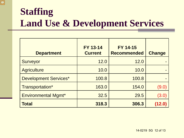#### **Staffing Land Use & Development Services**

 $\overline{\bigcirc}$ 

| <b>Department</b>            | <b>FY 13-14</b><br><b>Current</b> | <b>FY 14-15</b><br><b>Recommended</b> | <b>Change</b> |
|------------------------------|-----------------------------------|---------------------------------------|---------------|
| Surveyor                     | 12.0                              | 12.0                                  |               |
| <b>Agriculture</b>           | 10.0                              | 10.0                                  |               |
| <b>Development Services*</b> | 100.8                             | 100.8                                 |               |
| Transportation*              | 163.0                             | 154.0                                 | (9.0)         |
| <b>Environmental Mgmt*</b>   | 32.5                              | 29.5                                  | (3.0)         |
| <b>Total</b>                 | 318.3                             | 306.3                                 | (12.0)        |